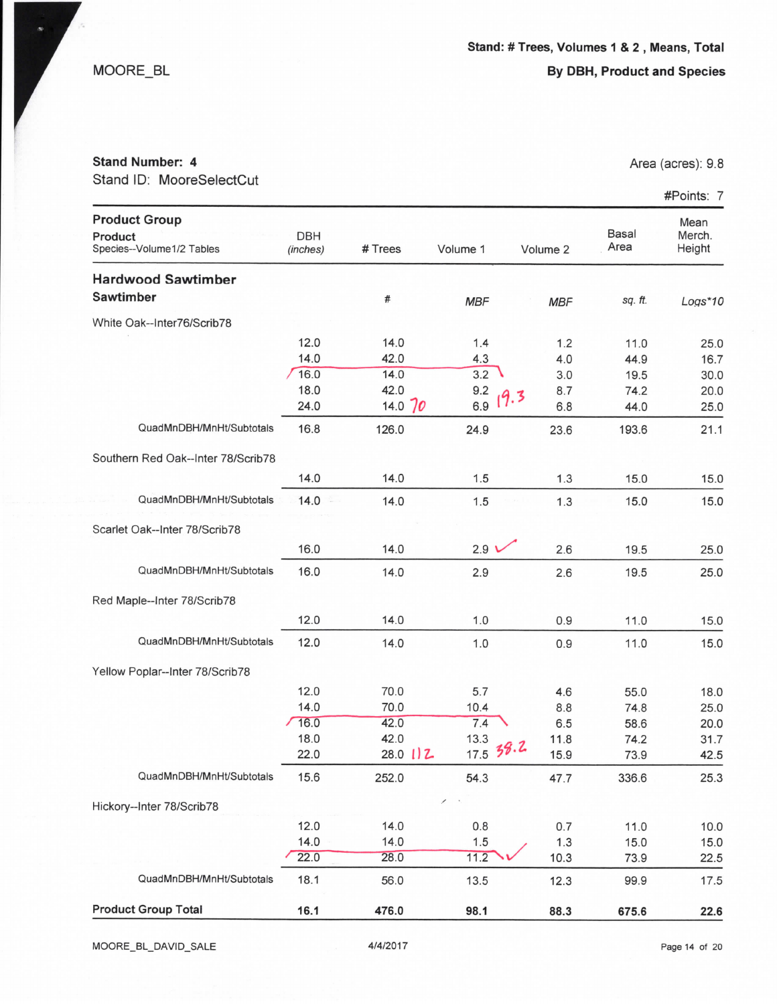MOORE\_BL

## Stand Number: 4

Stand ID: MooreSelectCut

|                                                              |                        |              |                  |             |                      | #Points: 7               |
|--------------------------------------------------------------|------------------------|--------------|------------------|-------------|----------------------|--------------------------|
| <b>Product Group</b><br>Product<br>Species--Volume1/2 Tables | <b>DBH</b><br>(inches) | # Trees      | Volume 1         | Volume 2    | <b>Basal</b><br>Area | Mean<br>Merch.<br>Height |
| <b>Hardwood Sawtimber</b>                                    |                        |              |                  |             |                      |                          |
| <b>Sawtimber</b>                                             |                        | #            | <b>MBF</b>       | <b>MBF</b>  | sq. ft.              | $Logs*10$                |
| White Oak--Inter76/Scrib78                                   |                        |              |                  |             |                      |                          |
|                                                              | 12.0                   | 14.0         | 1.4              | 1.2         | 11.0                 | 25.0                     |
|                                                              | 14.0                   | 42.0         | 4.3              | 4.0         | 44.9                 | 16.7                     |
|                                                              | 16.0                   | 14.0         | 3.2              | 3.0         | 19.5                 | 30.0                     |
|                                                              | 18.0                   | 42.0         | 9.2              | 8.7         | 74.2                 | 20.0                     |
|                                                              | 24.0                   | 14.0 $70$    | 6.9              | 19.3<br>6.8 | 44.0                 | 25.0                     |
| QuadMnDBH/MnHt/Subtotals                                     | 16.8                   | 126.0        | 24.9             | 23.6        | 193.6                | 21.1                     |
| Southern Red Oak--Inter 78/Scrib78                           |                        |              |                  |             |                      |                          |
|                                                              | 14.0                   | 14.0         | 1.5              | 1.3         | 15.0                 | 15.0                     |
| QuadMnDBH/MnHt/Subtotals                                     | 14.0                   | 14.0         | 1.5              | 1.3         | 15.0                 | 15.0                     |
| Scarlet Oak--Inter 78/Scrib78                                |                        |              |                  |             |                      |                          |
|                                                              | 16.0                   | 14.0         | 2.9 <sub>l</sub> | 2.6         | 19.5                 | 25.0                     |
| QuadMnDBH/MnHt/Subtotals                                     | 16.0                   | 14.0         | 2.9              | 2.6         | 19.5                 | 25.0                     |
| Red Maple--Inter 78/Scrib78                                  |                        |              |                  |             |                      |                          |
|                                                              | 12.0                   | 14.0         | 1.0              | 0.9         | 11.0                 | 15.0                     |
| QuadMnDBH/MnHt/Subtotals                                     | 12.0                   | 14.0         | 1.0              | 0.9         | 11.0                 | 15.0                     |
| Yellow Poplar--Inter 78/Scrib78                              |                        |              |                  |             |                      |                          |
|                                                              | 12.0                   | 70.0         | 5.7              | 4.6         | 55.0                 | 18.0                     |
|                                                              | 14.0                   | 70.0         | 10.4             | 8.8         | 74.8                 | 25.0                     |
|                                                              | 16.0                   | 42.0         | 7.4              | 6.5         | 58.6                 | 20.0                     |
|                                                              | 18.0                   | 42.0         | 13.3             | 11.8        | 74.2                 | 31.7                     |
|                                                              | 22.0                   | $28.0$ $112$ | 17.5 38.2        | 15.9        | 73.9                 | 42.5                     |
| QuadMnDBH/MnHt/Subtotals                                     | 15.6                   | 252.0        | 54.3             | 47.7        | 336.6                | 25.3                     |
| Hickory--Inter 78/Scrib78                                    |                        |              | ∕                |             |                      |                          |
|                                                              | 12.0                   | 14.0         | 0.8              | 0.7         | 11.0                 | 10.0                     |
|                                                              | 14.0                   | 14.0         | 1.5              | 1.3         | 15.0                 | 15.0                     |
|                                                              | 22.0                   | 28.0         | 11.2             | 10.3        | 73.9                 | 22.5                     |
| QuadMnDBH/MnHt/Subtotals                                     | 18.1                   | 56.0         | 13.5             | 12.3        | 99.9                 | 17.5                     |
| <b>Product Group Total</b>                                   | 16.1                   | 476.0        | 98.1             | 88.3        | 675.6                | 22.6                     |

Area (acres): 9.8